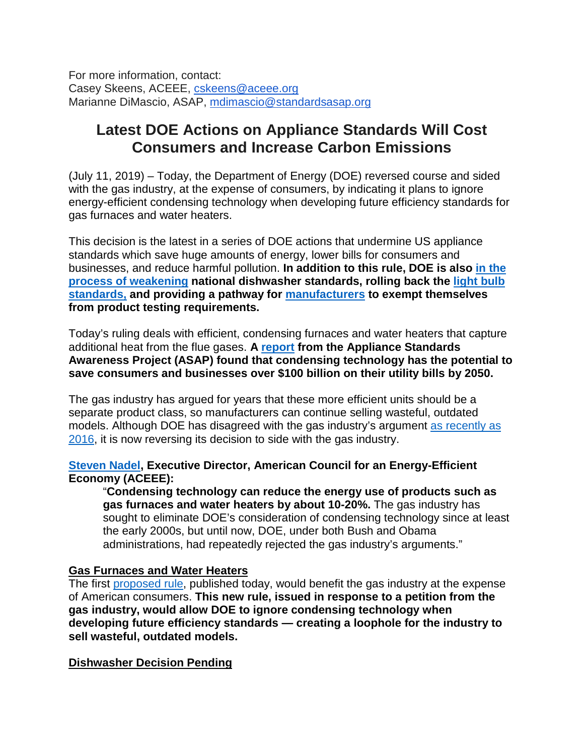For more information, contact: Casey Skeens, ACEEE, [cskeens@aceee.org](mailto:cskeens@aceee.org) Marianne DiMascio, ASAP, [mdimascio@standardsasap.org](mailto:mdimascio@standardsasap.org)

## **Latest DOE Actions on Appliance Standards Will Cost Consumers and Increase Carbon Emissions**

(July 11, 2019) – Today, the Department of Energy (DOE) reversed course and sided with the gas industry, at the expense of consumers, by indicating it plans to ignore energy-efficient condensing technology when developing future efficiency standards for gas furnaces and water heaters.

This decision is the latest in a series of DOE actions that undermine US appliance standards which save huge amounts of energy, lower bills for consumers and businesses, and reduce harmful pollution. **In addition to this rule, DOE is also [in the](https://www1.eere.energy.gov/buildings/appliance_standards/standards.aspx?productid=38&action=viewlive)  [process of weakening](https://www1.eere.energy.gov/buildings/appliance_standards/standards.aspx?productid=38&action=viewlive) national dishwasher standards, rolling back the [light bulb](http://appliance-standards.org/document/rollback-light-bulb-standards-would-cost-consumers-billions-100-household-each-year)  [standards,](http://appliance-standards.org/document/rollback-light-bulb-standards-would-cost-consumers-billions-100-household-each-year) and providing a pathway for [manufacturers](http://appliance-standards.org/blog/doe-refuses-public-hearing-proposal) to exempt themselves from product testing requirements.**

Today's ruling deals with efficient, condensing furnaces and water heaters that capture additional heat from the flue gases. **A [report](https://appliance-standards.org/sites/default/files/Next%20Gen%20Report%20Final_1.pdf) from the Appliance Standards Awareness Project (ASAP) found that condensing technology has the potential to save consumers and businesses over \$100 billion on their utility bills by 2050.**

The gas industry has argued for years that these more efficient units should be a separate product class, so manufacturers can continue selling wasteful, outdated models. Although DOE has disagreed with the gas industry's argument [as recently as](https://www1.eere.energy.gov/buildings/appliance_standards/standards.aspx?productid=59&action=viewlive)  [2016,](https://www1.eere.energy.gov/buildings/appliance_standards/standards.aspx?productid=59&action=viewlive) it is now reversing its decision to side with the gas industry.

## **[Steven Nadel,](https://aceee.org/about/aceee-staff/steven-nadel) Executive Director, American Council for an Energy-Efficient Economy (ACEEE):**

"**Condensing technology can reduce the energy use of products such as gas furnaces and water heaters by about 10-20%.** The gas industry has sought to eliminate DOE's consideration of condensing technology since at least the early 2000s, but until now, DOE, under both Bush and Obama administrations, had repeatedly rejected the gas industry's arguments."

## **Gas Furnaces and Water Heaters**

The first [proposed rule,](https://www.energy.gov/sites/prod/files/2019/07/f64/gas-petition-nopr.pdf) published today, would benefit the gas industry at the expense of American consumers. **This new rule, issued in response to a petition from the gas industry, would allow DOE to ignore condensing technology when developing future efficiency standards — creating a loophole for the industry to sell wasteful, outdated models.** 

## **Dishwasher Decision Pending**